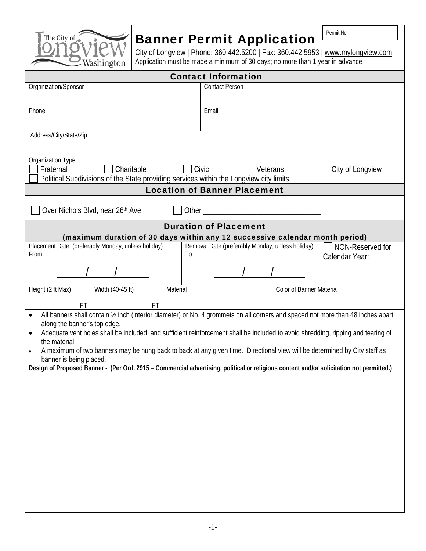

## Banner Permit Application

City of Longview | Phone: 360.442.5200 | Fax: 360.442.5953 | www.mylongview.com Application must be made a minimum of 30 days; no more than 1 year in advance

Permit No.

| <b>Contact Information</b>                                                                                                                                                                                                                                                                                                                                                                                                                                                                              |                                                  |                                    |
|---------------------------------------------------------------------------------------------------------------------------------------------------------------------------------------------------------------------------------------------------------------------------------------------------------------------------------------------------------------------------------------------------------------------------------------------------------------------------------------------------------|--------------------------------------------------|------------------------------------|
| Organization/Sponsor                                                                                                                                                                                                                                                                                                                                                                                                                                                                                    | <b>Contact Person</b>                            |                                    |
| Phone                                                                                                                                                                                                                                                                                                                                                                                                                                                                                                   | Email                                            |                                    |
| Address/City/State/Zip                                                                                                                                                                                                                                                                                                                                                                                                                                                                                  |                                                  |                                    |
| Organization Type:<br>Fraternal<br>Charitable<br>Political Subdivisions of the State providing services within the Longview city limits.                                                                                                                                                                                                                                                                                                                                                                | Civic<br>Veterans                                | City of Longview                   |
| <b>Location of Banner Placement</b>                                                                                                                                                                                                                                                                                                                                                                                                                                                                     |                                                  |                                    |
| Over Nichols Blvd, near 26th Ave<br>Other and the contract of the contract of the contract of the contract of the contract of the contract of the contract of the contract of the contract of the contract of the contract of the contract of the contract of the                                                                                                                                                                                                                                       |                                                  |                                    |
| <b>Duration of Placement</b><br>(maximum duration of 30 days within any 12 successive calendar month period)                                                                                                                                                                                                                                                                                                                                                                                            |                                                  |                                    |
| Placement Date (preferably Monday, unless holiday)<br>To:<br>From:                                                                                                                                                                                                                                                                                                                                                                                                                                      | Removal Date (preferably Monday, unless holiday) | NON-Reserved for<br>Calendar Year: |
|                                                                                                                                                                                                                                                                                                                                                                                                                                                                                                         |                                                  |                                    |
| Width (40-45 ft)<br>Height (2 ft Max)<br>Material                                                                                                                                                                                                                                                                                                                                                                                                                                                       | <b>Color of Banner Material</b>                  |                                    |
| FT<br>FT                                                                                                                                                                                                                                                                                                                                                                                                                                                                                                |                                                  |                                    |
| All banners shall contain 1/2 inch (interior diameter) or No. 4 grommets on all corners and spaced not more than 48 inches apart<br>$\bullet$<br>along the banner's top edge.<br>Adequate vent holes shall be included, and sufficient reinforcement shall be included to avoid shredding, ripping and tearing of<br>$\bullet$<br>the material.<br>A maximum of two banners may be hung back to back at any given time. Directional view will be determined by City staff as<br>banner is being placed. |                                                  |                                    |
| Design of Proposed Banner - (Per Ord. 2915 - Commercial advertising, political or religious content and/or solicitation not permitted.)                                                                                                                                                                                                                                                                                                                                                                 |                                                  |                                    |
|                                                                                                                                                                                                                                                                                                                                                                                                                                                                                                         |                                                  |                                    |